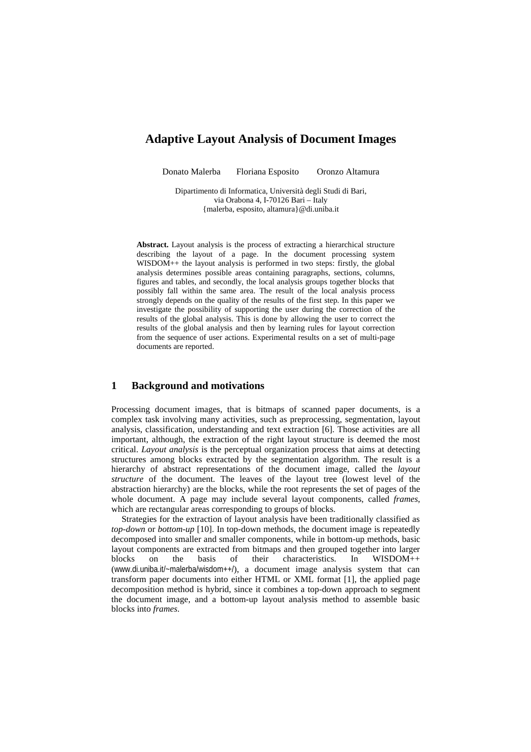# **Adaptive Layout Analysis of Document Images**

Donato Malerba Floriana Esposito Oronzo Altamura

Dipartimento di Informatica, Università degli Studi di Bari, via Orabona 4, I-70126 Bari – Italy {malerba, esposito, altamura}@di.uniba.it

**Abstract.** Layout analysis is the process of extracting a hierarchical structure describing the layout of a page. In the document processing system WISDOM<sup>++</sup> the layout analysis is performed in two steps: firstly, the global analysis determines possible areas containing paragraphs, sections, columns, figures and tables, and secondly, the local analysis groups together blocks that possibly fall within the same area. The result of the local analysis process strongly depends on the quality of the results of the first step. In this paper we investigate the possibility of supporting the user during the correction of the results of the global analysis. This is done by allowing the user to correct the results of the global analysis and then by learning rules for layout correction from the sequence of user actions. Experimental results on a set of multi-page documents are reported.

### **1 Background and motivations**

Processing document images, that is bitmaps of scanned paper documents, is a complex task involving many activities, such as preprocessing, segmentation, layout analysis, classification, understanding and text extraction [6]. Those activities are all important, although, the extraction of the right layout structure is deemed the most critical. *Layout analysis* is the perceptual organization process that aims at detecting structures among blocks extracted by the segmentation algorithm. The result is a hierarchy of abstract representations of the document image, called the *layout structure* of the document. The leaves of the layout tree (lowest level of the abstraction hierarchy) are the blocks, while the root represents the set of pages of the whole document. A page may include several layout components, called *frames*, which are rectangular areas corresponding to groups of blocks.

Strategies for the extraction of layout analysis have been traditionally classified as *top-down* or *bottom-up* [10]. In top-down methods, the document image is repeatedly decomposed into smaller and smaller components, while in bottom-up methods, basic layout components are extracted from bitmaps and then grouped together into larger blocks on the basis of their characteristics. In WISDOM++ (www.di.uniba.it/~malerba/wisdom++/), a document image analysis system that can transform paper documents into either HTML or XML format [1], the applied page decomposition method is hybrid, since it combines a top-down approach to segment the document image, and a bottom-up layout analysis method to assemble basic blocks into *frames*.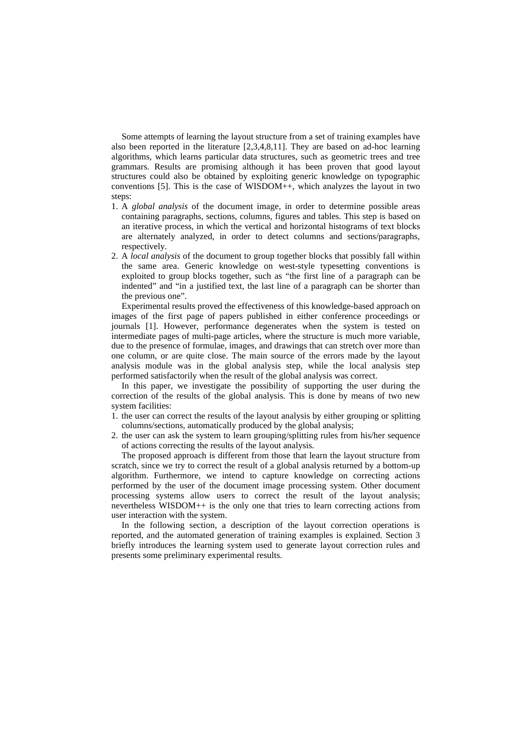Some attempts of learning the layout structure from a set of training examples have also been reported in the literature [2,3,4,8,11]. They are based on ad-hoc learning algorithms, which learns particular data structures, such as geometric trees and tree grammars. Results are promising although it has been proven that good layout structures could also be obtained by exploiting generic knowledge on typographic conventions [5]. This is the case of WISDOM++, which analyzes the layout in two steps:

- 1. A *global analysis* of the document image, in order to determine possible areas containing paragraphs, sections, columns, figures and tables. This step is based on an iterative process, in which the vertical and horizontal histograms of text blocks are alternately analyzed, in order to detect columns and sections/paragraphs, respectively.
- 2. A *local analysis* of the document to group together blocks that possibly fall within the same area. Generic knowledge on west-style typesetting conventions is exploited to group blocks together, such as "the first line of a paragraph can be indented" and "in a justified text, the last line of a paragraph can be shorter than the previous one".

Experimental results proved the effectiveness of this knowledge-based approach on images of the first page of papers published in either conference proceedings or journals [1]. However, performance degenerates when the system is tested on intermediate pages of multi-page articles, where the structure is much more variable, due to the presence of formulae, images, and drawings that can stretch over more than one column, or are quite close. The main source of the errors made by the layout analysis module was in the global analysis step, while the local analysis step performed satisfactorily when the result of the global analysis was correct.

In this paper, we investigate the possibility of supporting the user during the correction of the results of the global analysis. This is done by means of two new system facilities:

- 1. the user can correct the results of the layout analysis by either grouping or splitting columns/sections, automatically produced by the global analysis;
- 2. the user can ask the system to learn grouping/splitting rules from his/her sequence of actions correcting the results of the layout analysis.

The proposed approach is different from those that learn the layout structure from scratch, since we try to correct the result of a global analysis returned by a bottom-up algorithm. Furthermore, we intend to capture knowledge on correcting actions performed by the user of the document image processing system. Other document processing systems allow users to correct the result of the layout analysis; nevertheless WISDOM++ is the only one that tries to learn correcting actions from user interaction with the system.

In the following section, a description of the layout correction operations is reported, and the automated generation of training examples is explained. Section 3 briefly introduces the learning system used to generate layout correction rules and presents some preliminary experimental results.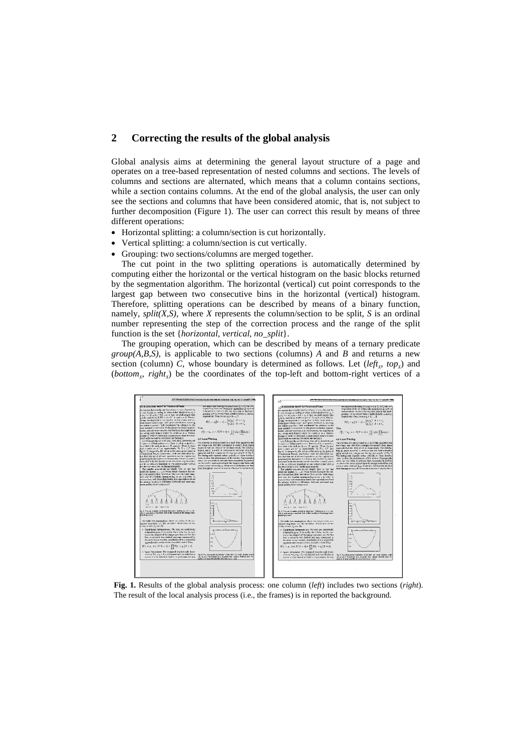## **2 Correcting the results of the global analysis**

Global analysis aims at determining the general layout structure of a page and operates on a tree-based representation of nested columns and sections. The levels of columns and sections are alternated, which means that a column contains sections, while a section contains columns. At the end of the global analysis, the user can only see the sections and columns that have been considered atomic, that is, not subject to further decomposition (Figure 1). The user can correct this result by means of three different operations:

- Horizontal splitting: a column/section is cut horizontally.
- Vertical splitting: a column/section is cut vertically.
- Grouping: two sections/columns are merged together.

The cut point in the two splitting operations is automatically determined by computing either the horizontal or the vertical histogram on the basic blocks returned by the segmentation algorithm. The horizontal (vertical) cut point corresponds to the largest gap between two consecutive bins in the horizontal (vertical) histogram. Therefore, splitting operations can be described by means of a binary function, namely, *split(X,S)*, where *X* represents the column/section to be split, *S* is an ordinal number representing the step of the correction process and the range of the split function is the set {*horizontal*, *vertical*, *no\_split*}.

The grouping operation, which can be described by means of a ternary predicate *group(A,B,S)*, is applicable to two sections (columns) *A* and *B* and returns a new section (column) *C*, whose boundary is determined as follows. Let  $(\text{left}_x, \text{top}_x)$  and (*bottom<sub>y</sub>* right<sub>y</sub>) be the coordinates of the top-left and bottom-right vertices of a



**Fig. 1.** Results of the global analysis process: one column (*left*) includes two sections (*right*). The result of the local analysis process (i.e., the frames) is in reported the background.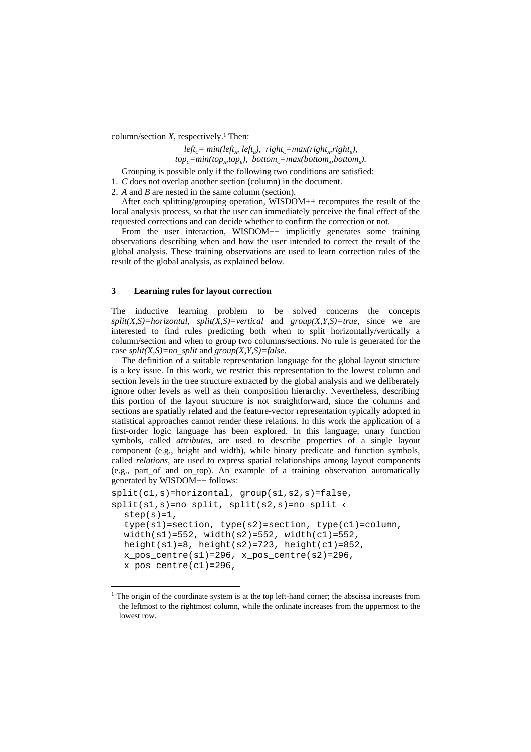column/section *X*, respectively.1 Then:

 $left_{c} = min(left_{A}, left_{B})$ ,  $right_{c} = max(right_{A}, right_{B})$ ,  $top_c = min(top_A, top_B)$ , bottom<sub>c</sub>=max(bottom<sub>a</sub>,bottom<sub>B</sub>).

Grouping is possible only if the following two conditions are satisfied:

1. *C* does not overlap another section (column) in the document.

2. *A* and *B* are nested in the same column (section).

After each splitting/grouping operation, WISDOM++ recomputes the result of the local analysis process, so that the user can immediately perceive the final effect of the requested corrections and can decide whether to confirm the correction or not.

From the user interaction, WISDOM++ implicitly generates some training observations describing when and how the user intended to correct the result of the global analysis. These training observations are used to learn correction rules of the result of the global analysis, as explained below.

### **3 Learning rules for layout correction**

 $\overline{a}$ 

The inductive learning problem to be solved concerns the concepts *split(X,S)=horizontal*, *split(X,S)=vertical* and *group(X,Y,S)=true*, since we are interested to find rules predicting both when to split horizontally/vertically a column/section and when to group two columns/sections. No rule is generated for the case *split(X,S)=no\_split* and *group(X,Y,S)=false*.

The definition of a suitable representation language for the global layout structure is a key issue. In this work, we restrict this representation to the lowest column and section levels in the tree structure extracted by the global analysis and we deliberately ignore other levels as well as their composition hierarchy. Nevertheless, describing this portion of the layout structure is not straightforward, since the columns and sections are spatially related and the feature-vector representation typically adopted in statistical approaches cannot render these relations. In this work the application of a first-order logic language has been explored. In this language, unary function symbols, called *attributes*, are used to describe properties of a single layout component (e.g., height and width), while binary predicate and function symbols, called *relations*, are used to express spatial relationships among layout components (e.g., part\_of and on\_top). An example of a training observation automatically generated by WISDOM++ follows:

```
split(c1,s)=horizontal, group(s1,s2,s)=false, 
split(s1,s)=no\_split, split(s2,s)=no\_split \leftarrowstep(s)=1,
  type(s1)=section, type(s2)=section, type(c1)=column, 
  width(s1)=552, width(s2)=552, width(c1)=552, 
  height(s1)=8, height(s2)=723, height(c1)=852,
  x pos centre(s1)=296, x pos centre(s2)=296,
  x pos centre(c1)=296,
```
<sup>&</sup>lt;sup>1</sup> The origin of the coordinate system is at the top left-hand corner; the abscissa increases from the leftmost to the rightmost column, while the ordinate increases from the uppermost to the lowest row.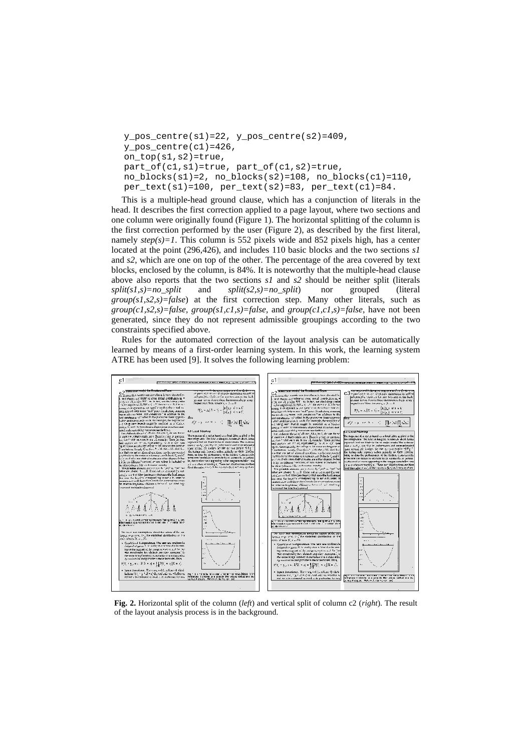```
y_pos_centre(s1)=22, y_pos_centre(s2)=409, 
y_pos_centre(cl)=426,
on top(s1,s2)=true,
part_of(c1,s1)=true, part_of(c1,s2)=true, 
no_blocks(s1)=2, no_blocks(s2)=108, no_blocks(c1)=110, 
per_text(s1)=100, per_text(s2)=83, per_text(c1)=84.
```
This is a multiple-head ground clause, which has a conjunction of literals in the head. It describes the first correction applied to a page layout, where two sections and one column were originally found (Figure 1). The horizontal splitting of the column is the first correction performed by the user (Figure 2), as described by the first literal, namely  $step(s)=1$ . This column is 552 pixels wide and 852 pixels high, has a center located at the point (296,426), and includes 110 basic blocks and the two sections *s1* and *s2*, which are one on top of the other. The percentage of the area covered by text blocks, enclosed by the column, is 84%. It is noteworthy that the multiple-head clause above also reports that the two sections *s1* and *s2* should be neither split (literals *split(s1,s)=no\_split* and *split(s2,s)=no\_split*) nor grouped (literal *group(s1,s2,s)=false*) at the first correction step. Many other literals, such as *group(c1,s2,s)=false, group(s1,c1,s)=false,* and *group(c1,c1,s)=false,* have not been generated, since they do not represent admissible groupings according to the two constraints specified above.

Rules for the automated correction of the layout analysis can be automatically learned by means of a first-order learning system. In this work, the learning system ATRE has been used [9]. It solves the following learning problem:



**Fig. 2.** Horizontal split of the column (*left*) and vertical split of column c2 (*right*). The result of the layout analysis process is in the background.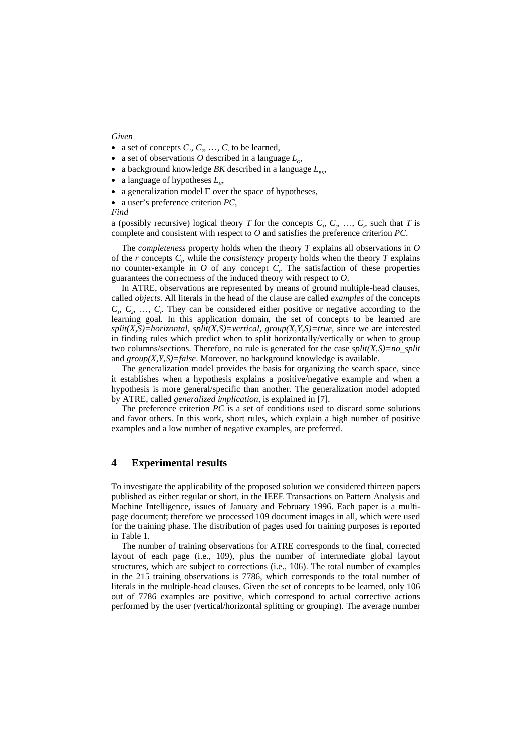#### *Given*

- a set of concepts  $C_p$ ,  $C_p$ ,  $\ldots$ ,  $C_r$  to be learned,
- a set of observations *O* described in a language  $L_o$ ,
- a background knowledge *BK* described in a language  $L_{\text{BE}}$
- a language of hypotheses  $L_{\mu}$ ,
- a generalization model  $\Gamma$  over the space of hypotheses,
- a user's preference criterion *PC*,

*Find* 

a (possibly recursive) logical theory *T* for the concepts  $C_p$ ,  $C_p$ ,  $C_q$ , such that *T* is complete and consistent with respect to *O* and satisfies the preference criterion *PC*.

The *completeness* property holds when the theory *T* explains all observations in *O* of the  $r$  concepts  $C_i$ , while the *consistency* property holds when the theory  $T$  explains no counter-example in  $O$  of any concept  $C_i$ . The satisfaction of these properties guarantees the correctness of the induced theory with respect to *O*.

In ATRE, observations are represented by means of ground multiple-head clauses, called *objects*. All literals in the head of the clause are called *examples* of the concepts  $C_p$ ,  $C_p$ ,  $\ldots$ ,  $C_r$ . They can be considered either positive or negative according to the learning goal. In this application domain, the set of concepts to be learned are *split(X,S)=horizontal*, *split(X,S)=vertical*, *group(X,Y,S)=true*, since we are interested in finding rules which predict when to split horizontally/vertically or when to group two columns/sections. Therefore, no rule is generated for the case *split(X,S)=no\_split* and *group(X,Y,S)=false*. Moreover, no background knowledge is available.

The generalization model provides the basis for organizing the search space, since it establishes when a hypothesis explains a positive/negative example and when a hypothesis is more general/specific than another. The generalization model adopted by ATRE, called *generalized implication*, is explained in [7].

The preference criterion *PC* is a set of conditions used to discard some solutions and favor others. In this work, short rules, which explain a high number of positive examples and a low number of negative examples, are preferred.

### **4 Experimental results**

To investigate the applicability of the proposed solution we considered thirteen papers published as either regular or short, in the IEEE Transactions on Pattern Analysis and Machine Intelligence, issues of January and February 1996. Each paper is a multipage document; therefore we processed 109 document images in all, which were used for the training phase. The distribution of pages used for training purposes is reported in Table 1.

The number of training observations for ATRE corresponds to the final, corrected layout of each page (i.e., 109), plus the number of intermediate global layout structures, which are subject to corrections (i.e., 106). The total number of examples in the 215 training observations is 7786, which corresponds to the total number of literals in the multiple-head clauses. Given the set of concepts to be learned, only 106 out of 7786 examples are positive, which correspond to actual corrective actions performed by the user (vertical/horizontal splitting or grouping). The average number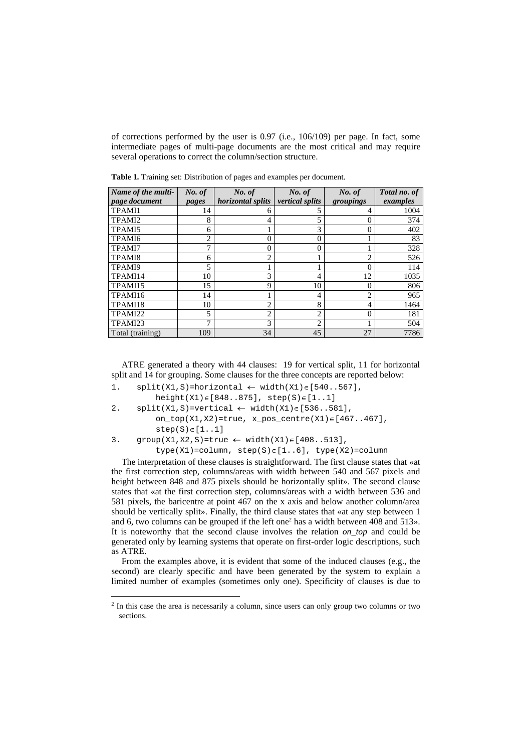of corrections performed by the user is 0.97 (i.e., 106/109) per page. In fact, some intermediate pages of multi-page documents are the most critical and may require several operations to correct the column/section structure.

| Name of the multi-<br>page document | No. of<br>pages | No. of<br>horizontal splits | No. of<br>vertical splits | No. of<br>groupings | Total no. of<br>examples |
|-------------------------------------|-----------------|-----------------------------|---------------------------|---------------------|--------------------------|
| <b>TPAMI1</b>                       | 14              | 6                           | 5                         | 4                   | 1004                     |
| TPAMI2                              | 8               | 4                           | 5                         | 0                   | 374                      |
| TPAMI5                              | 6               |                             | 3                         | $\Omega$            | 402                      |
| TPAMI6                              | 2               | 0                           | 0                         |                     | 83                       |
| TPAMI7                              | $\mathcal{I}$   | 0                           | 0                         |                     | 328                      |
| <b>TPAMI8</b>                       | 6               | 2                           |                           | $\overline{2}$      | 526                      |
| TPAMI9                              | 5               |                             |                           | $\Omega$            | 114                      |
| TPAMI14                             | 10              | 3                           | 4                         | 12                  | 1035                     |
| TPAMI15                             | 15              | 9                           | 10                        | 0                   | 806                      |
| TPAMI16                             | 14              |                             | 4                         | $\overline{2}$      | 965                      |
| TPAMI18                             | 10              | 2                           | 8                         | 4                   | 1464                     |
| TPAMI22                             | 5               | $\overline{c}$              | $\overline{c}$            | $\Omega$            | 181                      |
| TPAMI23                             | ┑               | 3                           | $\overline{c}$            |                     | 504                      |
| Total (training)                    | 109             | 34                          | 45                        | 27                  | 7786                     |

**Table 1.** Training set: Distribution of pages and examples per document.

ATRE generated a theory with 44 clauses: 19 for vertical split, 11 for horizontal split and 14 for grouping. Some clauses for the three concepts are reported below:

1.  $split(X1, S) = horizontal \leftarrow width(X1) \in [540..567],$ 

```
height(X1)-
[848..875], step(S)-
[1..1] 
2. split(X1, S) = vertical \leftarrow width(X1) \in [536..581],on_top(X1,X2)=true, x_pos_centre(X1)\in[467..467],
          step(S) \in [1..1]3. group(X1,X2,S)=true \leftarrow width(X1)\in[408..513],
```

```
type(X1)=column, step(S) \in [1..6], type(X2)=column
```
The interpretation of these clauses is straightforward. The first clause states that «at the first correction step, columns/areas with width between 540 and 567 pixels and height between 848 and 875 pixels should be horizontally split». The second clause states that «at the first correction step, columns/areas with a width between 536 and 581 pixels, the baricentre at point 467 on the x axis and below another column/area should be vertically split». Finally, the third clause states that «at any step between 1 and 6, two columns can be grouped if the left one<sup>2</sup> has a width between  $408$  and  $513$ ». It is noteworthy that the second clause involves the relation *on\_top* and could be generated only by learning systems that operate on first-order logic descriptions, such as ATRE.

From the examples above, it is evident that some of the induced clauses (e.g., the second) are clearly specific and have been generated by the system to explain a limited number of examples (sometimes only one). Specificity of clauses is due to

 $\overline{a}$ 

<sup>&</sup>lt;sup>2</sup> In this case the area is necessarily a column, since users can only group two columns or two sections.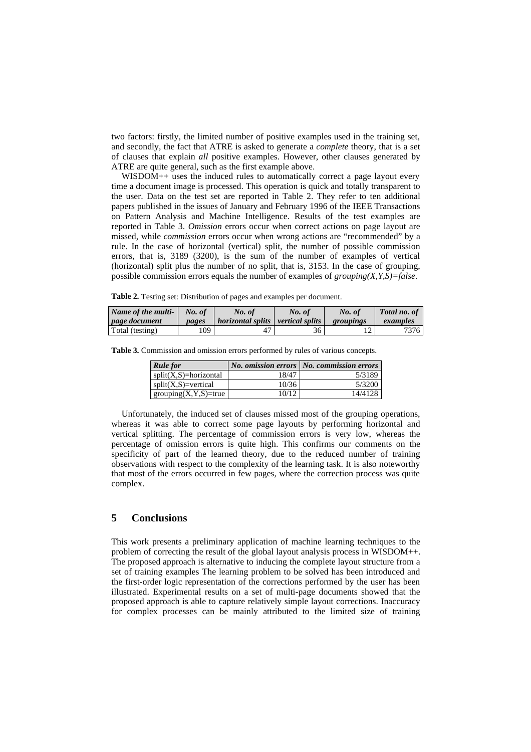two factors: firstly, the limited number of positive examples used in the training set, and secondly, the fact that ATRE is asked to generate a *complete* theory, that is a set of clauses that explain *all* positive examples. However, other clauses generated by ATRE are quite general, such as the first example above.

WISDOM++ uses the induced rules to automatically correct a page layout every time a document image is processed. This operation is quick and totally transparent to the user. Data on the test set are reported in Table 2. They refer to ten additional papers published in the issues of January and February 1996 of the IEEE Transactions on Pattern Analysis and Machine Intelligence. Results of the test examples are reported in Table 3. *Omission* errors occur when correct actions on page layout are missed, while *commission* errors occur when wrong actions are "recommended" by a rule. In the case of horizontal (vertical) split, the number of possible commission errors, that is, 3189 (3200), is the sum of the number of examples of vertical (horizontal) split plus the number of no split, that is, 3153. In the case of grouping, possible commission errors equals the number of examples of *grouping(X,Y,S)=false*.

**Table 2.** Testing set: Distribution of pages and examples per document.

| Name of the multi-   | No. of | No. of                            | No. of | No. of    | <b>Total no. of</b> |
|----------------------|--------|-----------------------------------|--------|-----------|---------------------|
| <i>page document</i> | pages  | horizontal splits vertical splits |        | groupings | examples            |
| Total (testing)      | 109    |                                   | 36     |           | 7376                |

|  |  |  | <b>Table 3.</b> Commission and omission errors performed by rules of various concepts. |
|--|--|--|----------------------------------------------------------------------------------------|
|  |  |  |                                                                                        |
|  |  |  |                                                                                        |

| <b>Rule</b> for            |       | No. omission errors   No. commission errors |
|----------------------------|-------|---------------------------------------------|
| $split(X,S)=horicontal$    | 18/47 | 5/3189                                      |
| $split(X,S)=vertical$      | 10/36 | 5/3200                                      |
| $grouping(X, Y, S) = true$ | 10/12 | 14/4128                                     |

Unfortunately, the induced set of clauses missed most of the grouping operations, whereas it was able to correct some page layouts by performing horizontal and vertical splitting. The percentage of commission errors is very low, whereas the percentage of omission errors is quite high. This confirms our comments on the specificity of part of the learned theory, due to the reduced number of training observations with respect to the complexity of the learning task. It is also noteworthy that most of the errors occurred in few pages, where the correction process was quite complex.

## **5 Conclusions**

This work presents a preliminary application of machine learning techniques to the problem of correcting the result of the global layout analysis process in WISDOM++. The proposed approach is alternative to inducing the complete layout structure from a set of training examples The learning problem to be solved has been introduced and the first-order logic representation of the corrections performed by the user has been illustrated. Experimental results on a set of multi-page documents showed that the proposed approach is able to capture relatively simple layout corrections. Inaccuracy for complex processes can be mainly attributed to the limited size of training